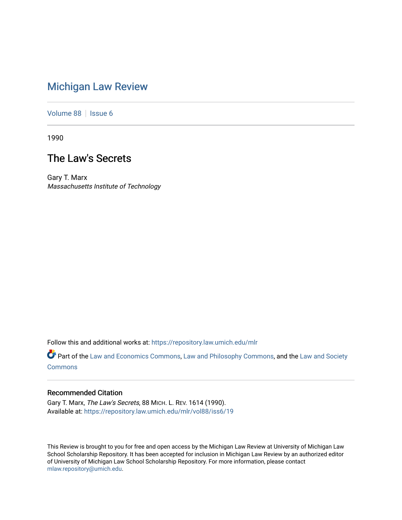# [Michigan Law Review](https://repository.law.umich.edu/mlr)

[Volume 88](https://repository.law.umich.edu/mlr/vol88) | [Issue 6](https://repository.law.umich.edu/mlr/vol88/iss6)

1990

## The Law's Secrets

Gary T. Marx Massachusetts Institute of Technology

Follow this and additional works at: [https://repository.law.umich.edu/mlr](https://repository.law.umich.edu/mlr?utm_source=repository.law.umich.edu%2Fmlr%2Fvol88%2Fiss6%2F19&utm_medium=PDF&utm_campaign=PDFCoverPages) 

Part of the [Law and Economics Commons](http://network.bepress.com/hgg/discipline/612?utm_source=repository.law.umich.edu%2Fmlr%2Fvol88%2Fiss6%2F19&utm_medium=PDF&utm_campaign=PDFCoverPages), [Law and Philosophy Commons](http://network.bepress.com/hgg/discipline/1299?utm_source=repository.law.umich.edu%2Fmlr%2Fvol88%2Fiss6%2F19&utm_medium=PDF&utm_campaign=PDFCoverPages), and the Law and Society [Commons](http://network.bepress.com/hgg/discipline/853?utm_source=repository.law.umich.edu%2Fmlr%2Fvol88%2Fiss6%2F19&utm_medium=PDF&utm_campaign=PDFCoverPages)

### Recommended Citation

Gary T. Marx, The Law's Secrets, 88 MICH. L. REV. 1614 (1990). Available at: [https://repository.law.umich.edu/mlr/vol88/iss6/19](https://repository.law.umich.edu/mlr/vol88/iss6/19?utm_source=repository.law.umich.edu%2Fmlr%2Fvol88%2Fiss6%2F19&utm_medium=PDF&utm_campaign=PDFCoverPages) 

This Review is brought to you for free and open access by the Michigan Law Review at University of Michigan Law School Scholarship Repository. It has been accepted for inclusion in Michigan Law Review by an authorized editor of University of Michigan Law School Scholarship Repository. For more information, please contact [mlaw.repository@umich.edu.](mailto:mlaw.repository@umich.edu)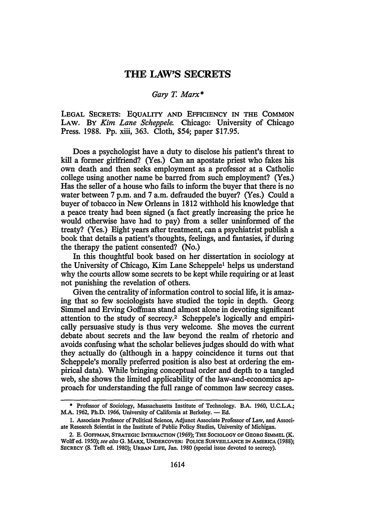### **THE LAW'S SECRETS**

#### *Gary T. Marx\**

LEGAL SECRETS: EQUALITY AND EFFICIENCY IN THE COMMON LAW. By *Kim Lane Scheppele*. Chicago: University of Chicago Press. 1988. Pp. xiii, 363. Cloth, \$54; paper \$17.95.

Does a psychologist have a duty to disclose his patient's threat to kill a former girlfriend? (Yes.) Can an apostate priest who fakes his own death and then seeks employment as a professor at a Catholic college using another name be barred from such employment? (Yes.) Has the seller of a house who fails to inform the buyer that there is no water between 7 p.m. and 7 a.m. defrauded the buyer? (Yes.) Could a buyer of tobacco in New Orleans in 1812 withhold his knowledge that a peace treaty had been signed (a fact greatly increasing the price he would otherwise have had to pay) from a seller uninformed of the treaty? (Yes.) Eight years after treatment, can a psychiatrist publish a book that details a patient's thoughts, feelings, and fantasies, if during the therapy the patient consented? (No.)

In this thoughtful book based on her dissertation in sociology at the University of Chicago, Kim Lane Scheppele1 helps us understand why the courts allow some secrets to be kept while requiring or at least not punishing the revelation of others.

Given the centrality of information control to social life, it is amazing that so few sociologists have studied the topic in depth. Georg Simmel and Erving Goffman stand almost alone in devoting significant attention to the study of secrecy.2 Scheppele's logically and empirically persuasive study is thus very welcome. She moves the current debate about secrets and the law beyond the realm of rhetoric and avoids confusing what the scholar believes judges should do with what they actually do (although in a happy coincidence it turns out that Scheppele's morally preferred position is also best at ordering the empirical data). While bringing conceptual order and depth to a tangled web, she shows the limited applicability of the law-and-economics approach for understanding the full range of common law secrecy cases.

<sup>\*</sup> Professor of Sociology, Massachusetts Institute of Technology. B.A. 1960, U.C.L.A.; M.A. 1962, Ph.D. 1966, University of California at Berkeley. - Ed.

<sup>1.</sup> Associate Professor of Political Science, Adjunct Associate Professor of Law, and Associ· ate Research Scientist in the Institute of Public Policy Studies, University of Michigan.

<sup>2.</sup> E. GOFFMAN, STRATEGIC INTERACTION (1969); THE SOCIOLOGY OF GEORG SJMMEL (K. Wolff ed. 1950); *see also* G. MARX, UNDERCOVER: POLICE SURVEILLANCE IN AMERICA (1988); SECRECY (S. Tefft ed. 1980); URBAN LIFE, Jan. 1980 (special issue devoted to secrecy).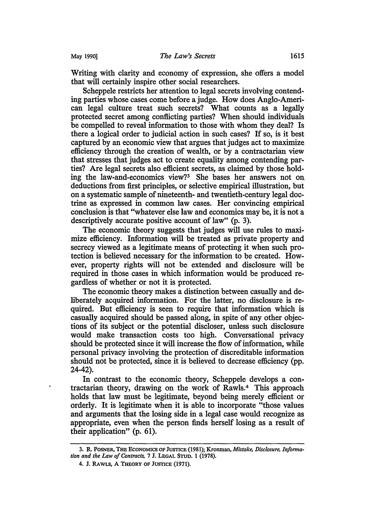Writing with clarity and economy of expression, she offers a model that will certainly inspire other social researchers.

Scheppele restricts her attention to legal secrets involving contending parties whose cases come before a judge. How does Anglo-American legal culture treat such secrets? What counts as a legally protected secret among conflicting parties? When should individuals be compelled to reveal information to those with whom they deal? Is there a logical order to judicial action in such cases? If so, is it best captured by an economic view that argues that judges act to maximize efficiency through the creation of wealth, or by a contractarian view that stresses that judges act to create equality among contending parties? Are legal secrets also efficient secrets, as claimed by those holding the law-and-economics view?3 She bases her answers not on deductions from first principles, or selective empirical illustration, but on a systematic sample of nineteenth- and twentieth-century legal doctrine as expressed in common law cases. Her convincing empirical conclusion is that "whatever else law and economics may be, it is not a descriptively accurate positive account of law" (p. 3).

The economic theory suggests that judges will use rules to maximize efficiency. Information will be treated as private property and secrecy viewed as a legitimate means of protecting it when such protection is believed necessary for the information to be created. However, property rights will not be extended and disclosure will be required in those cases in which information would be produced regardless of whether or not it is protected.

The economic theory makes a distinction between casually and deliberately acquired information. For the latter, no disclosure is required. But efficiency is seen to require that information which is casually acquired should be passed along, in spite of any other objections of its subject or the potential discloser, unless such disclosure would make transaction costs too high. Conversational privacy should be protected since it will increase the flow of information, while personal privacy involving the protection of discreditable information should not be protected, since it is believed to decrease efficiency (pp. 24-42).

In contrast to the economic theory, Scheppele develops a contractarian theory, drawing on the work of Rawls.4 This approach holds that law must be legitimate, beyond being merely efficient or orderly. It is legitimate when it is able to incorporate "those values and arguments that the losing side in a legal case would recognize as appropriate, even when the person finds herself losing as a result of their application" (p. 61).

<sup>3.</sup> R. POSNER, THE EcONOMICS OF JUSTICE (1981); Kronman, *Mistake, Disclosure, Infonnation and the Law of Contracts,* 7 J. LEGAL STUD. 1 (1978).

<sup>4.</sup> J. RAWLS, A THEORY OF JUSTICE (1971).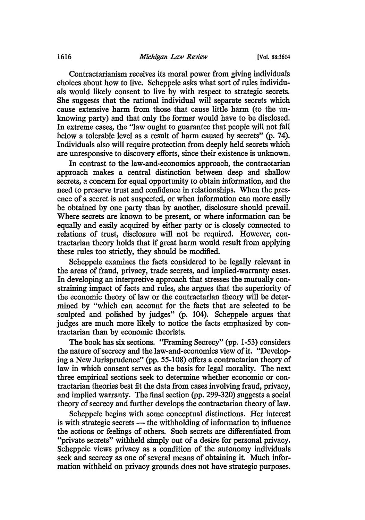Contractarianism receives its moral power from giving individuals choices about how to live. Scheppele asks what sort of rules individuals would likely consent to live by with respect to strategic secrets. She suggests that the rational individual will separate secrets which cause extensive harm from those that cause little harm (to the unknowing party) and that only the former would have to be disclosed. In extreme cases, the "law ought to guarantee that people will not fall below a tolerable level as a result of harm caused by secrets" (p. 74). Individuals also will require protection from deeply held secrets which are unresponsive to discovery efforts, since their existence is unknown.

In contrast to the law-and-economics approach, the contractarian approach makes a central distinction between deep and shallow secrets, a concern for equal opportunity to obtain information, and the need to preserve trust and confidence in relationships. When the presence of a secret is not suspected, or when information can more easily be obtained by one party than by another, disclosure should prevail. Where secrets are known to be present, or where information can be equally and easily acquired by either party or is closely connected to relations of trust, disclosure will not be required. However, contractarian theory holds that if great harm would result from applying these rules too strictly, they should be modified.

Scheppele examines the facts considered to be legally relevant in the areas of fraud, privacy, trade secrets, and implied-warranty cases. In developing an interpretive approach that stresses the mutually constraining impact of facts and rules, she argues that the superiority of the economic theory of law or the contractarian theory will be determined by "which can account for the facts that are selected to be sculpted and polished by judges" (p. 104). Scheppele argues that judges are much more likely to notice the facts emphasized by contractarian than by economic theorists.

The book has six sections. "Framing Secrecy" (pp. 1-53) considers the nature of secrecy and the law-and-economics view of it. "Developing a New Jurisprudence" (pp. 55-108) offers a contractarian theory of law in which consent serves as the basis for legal morality. The next three empirical sections seek to determine whether economic or contractarian theories best fit the data from cases involving fraud, privacy, and implied warranty. The final section (pp. 299-320) suggests a social theory of secrecy and further develops the contractarian theory of law.

Scheppele begins with some conceptual distinctions. Her interest is with strategic secrets  $-$  the withholding of information to influence the actions or feelings of others. Such secrets are differentiated from "private secrets" withheld simply out of a desire for personal privacy. Scheppele views privacy as a condition of the autonomy individuals seek and secrecy as one of several means of obtaining it. Much information withheld on privacy grounds does not have strategic purposes.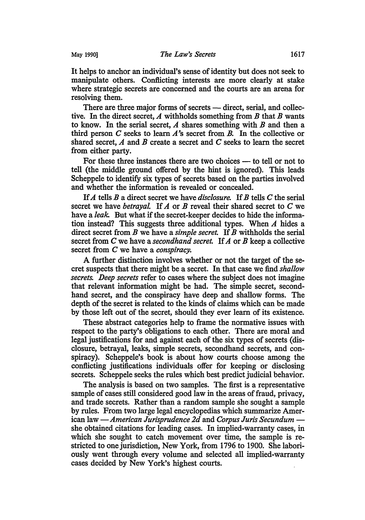It helps to anchor an individual's sense of identity but does not seek to manipulate others. Conflicting interests are more clearly at stake where strategic secrets are concerned and the courts are an arena for resolving them.

There are three major forms of secrets — direct, serial, and collective. In the direct secret, *A* withholds something from *B* that *B* wants to know. In the serial secret,  $A$  shares something with  $B$  and then a third person *C* seeks to learn *A's* secret from *B.* In the collective or shared secret, *A* and *B* create a secret and *C* seeks to learn the secret from either party.

For these three instances there are two choices — to tell or not to tell (the middle ground offered by the hint is ignored). This leads Scheppele to identify six types of secrets based on the parties involved and whether the information is revealed or concealed.

If *A* tells *B* a direct secret we have *disclosure.* If *B* tells *C* the serial secret we have *betrayal.* If *A* or *B* reveal their shared secret to *C* we have a *leak.* But what if the secret-keeper decides to hide the information instead? This suggests three additional types. When *A* hides a direct secret from *B* we have a *simple secret.* If *B* withholds the serial secret from *C* we have a *secondhand secret.* If *A* or *B* keep a collective secret from *C* we have a *conspiracy.* 

A further distinction involves whether or not the target of the secret suspects that there might be a secret. In that case we find *shallow secrets. Deep secrets* refer to cases where the subject does not imagine that relevant information might be had. The simple secret, secondhand secret, and the conspiracy have deep and shallow forms. The depth of the secret is related to the kinds of claims which can be made by those left out of the secret, should they ever learn of its existence.

These abstract categories help to frame the normative issues with respect to the party's obligations to each other. There are moral and legal justifications for and against each of the six types of secrets (disclosure, betrayal, leaks, simple secrets, secondhand secrets, and conspiracy). Scheppele's book is about how courts choose among the conflicting justifications individuals offer for keeping or disclosing secrets. Scheppele seeks the rules which best predict judicial behavior.

The analysis is based on two samples. The first is a representative sample of cases still considered good law in the areas of fraud, privacy, and trade secrets. Rather than a random sample she sought a sample by rules. From two large legal encyclopedias which summarize American law *- American Jurisprudence 2d* and *Corpus Juris Secundum* she obtained citations for leading cases. In implied-warranty cases, in which she sought to catch movement over time, the sample is restricted to one jurisdiction, New York, from 1796 to 1900. She laboriously went through every volume and selected all implied-warranty cases decided by New York's highest courts.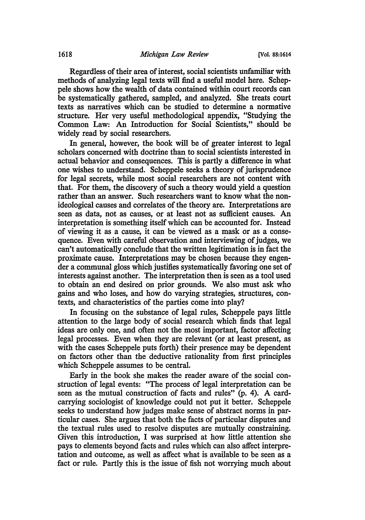Regardless of their area of interest, social scientists unfamiliar with methods of analyzing legal texts will find a useful model here. Scheppele shows how the wealth of data contained within court records can be systematically gathered, sampled, and analyzed. She treats court texts as narratives which can be studied to determine a normative structure. Her very useful methodological appendix, "Studying the Common Law: An Introduction for Social Scientists," should be widely read by social researchers.

In general, however, the book will be of greater interest to legal scholars concerned with doctrine than to social scientists interested in actual behavior and consequences. This is partly a difference in what one wishes to understand. Scheppele seeks a theory of jurisprudence for legal secrets, while most social researchers are not content with that. For them, the discovery of such a theory would yield a question rather than an answer. Such researchers want to know what the nonideological causes and correlates of the theory are. Interpretations are seen as data, not as causes, or at least not as sufficient causes. An interpretation is something itself which can be accounted for. Instead of viewing it as a cause, it can be viewed as a mask or as a consequence. Even with careful observation and interviewing of judges, we can't automatically conclude that the written legitimation is in fact the proximate cause. Interpretations may be chosen because they engender a communal gloss which justifies systematically favoring one set of interests against another. The interpretation then is seen as a tool used to obtain an end desired on prior grounds. We also must ask who gains and who loses, and how do varying strategies, structures, contexts, and characteristics of the parties come into play?

In focusing on the substance of legal rules, Scheppele pays little attention to the large body of social research which finds that legal ideas are only one, and often not the most important, factor affecting legal processes. Even when they are relevant (or at least present, as with the cases Scheppele puts forth) their presence may be dependent on factors other than the deductive rationality from first principles which Scheppele assumes to be central.

Early in the book she makes the reader aware of the social construction of legal events: "The process of legal interpretation can be seen as the mutual construction of facts and rules" (p. 4). A cardcarrying sociologist of knowledge could not put it better. Scheppele seeks to understand how judges make sense of abstract norms in particular cases. She argues that both the facts of particular disputes and the textual rules used to resolve disputes are mutually constraining. Given this introduction, I was surprised at how little attention she pays to elements beyond facts and rules which can also affect interpretation and outcome, as well as affect what is available to be seen as a fact or rule. Partly this is the issue of fish not worrying much about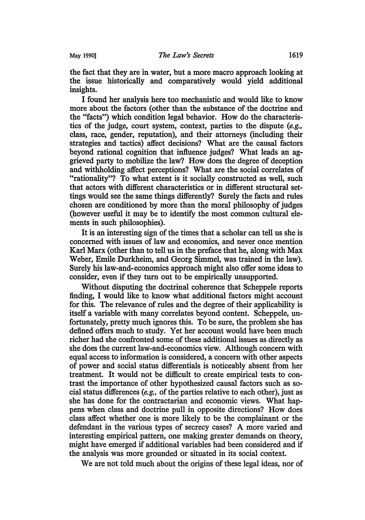the fact that they are in water, but a more macro approach looking at the issue historically and comparatively would yield additional insights.

I found her analysis here too mechanistic and would like to know more about the factors (other than the substance of the doctrine and the "facts") which condition legal behavior. How do the characteristics of the judge, court system, context, parties to the dispute (e.g., class, race, gender, reputation), and their attorneys (including their strategies and tactics) affect decisions? What are the causal factors beyond rational cognition that influence judges? What leads an aggrieved party to mobilize the law? How does the degree of deception and withholding affect perceptions? What are the social correlates of "rationality"? To what extent is it socially constructed as well, such that actors with different characteristics or in different structural settings would see the same things differently? Surely the facts and rules chosen are conditioned by more than the moral philosophy of judges (however useful it may be to identify the most common cultural elements in such philosophies).

It is an interesting sign of the times that a scholar can tell us she is concerned with issues of law and economics, and never once mention Karl Marx (other than to tell us in the preface that he, along with Max Weber, Emile Durkheim, and Georg Simmel, was trained in the law). Surely his law-and-economics approach might also offer some ideas to consider, even if they tum out to be empirically unsupported.

Without disputing the doctrinal coherence that Scheppele reports finding, I would like to know what additional factors might account for this. The relevance of rules and the degree of their applicability is itself a variable with many correlates beyond content. Scheppele, unfortunately, pretty much ignores this. To be sure, the problem she has defined offers much to study. Yet her account would have been much richer had she confronted some of these additional issues as directly as she does the current law-and-economics view. Although concern with equal access to information is considered, a concern with other aspects of power and social status differentials is noticeably absent from her treatment. It would not be difficult to create empirical tests to contrast the importance of other hypothesized causal factors such as social status differences (e.g., of the parties relative to each other), just as she has done for the contractarian and economic views. What happens when class and doctrine pull in opposite directions? How does class affect whether one is more likely to be the complainant or the defendant in the various types of secrecy cases? A more varied and interesting empirical pattern, one making greater demands on theory, might have emerged if additional variables had been considered and if the analysis was more grounded or situated in its social context.

We are not told much about the origins of these legal ideas, nor of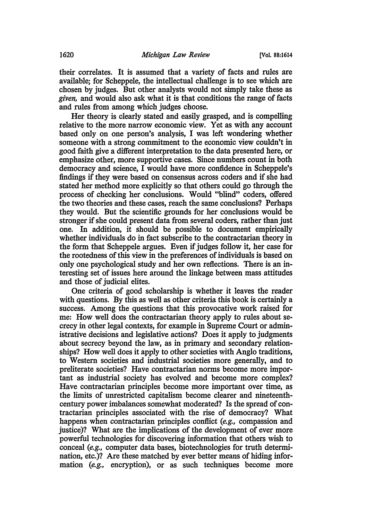their correlates. It is assumed that a variety of facts and rules are available; for Scheppele, the intellectual challenge is to see which are chosen by judges. But other analysts would not simply take these as *given,* and would also ask what it is that conditions the range of facts and rules from among which judges choose.

Her theory is clearly stated and easily grasped, and is compelling relative to the more narrow economic view. Yet as with any account based only on one person's analysis, I was left wondering whether someone with a strong commitment to the economic view couldn't in good faith give a different interpretation to the data presented here, or emphasize other, more supportive cases. Since numbers count in both democracy and science, I would have more confidence in Scheppele's findings if they were based on consensus across coders and if she had stated her method more explicitly so that others could go through the process of checking her conclusions. Would "blind" coders, offered the two theories and these cases, reach the same conclusions? Perhaps they would. But the scientific grounds for her conclusions would be stronger if she could present data from several coders, rather than just one. In addition, it should be possible to document empirically whether individuals do in fact subscribe to the contractarian theory in the form that Scheppele argues. Even if judges follow it, her case for the rootedness of this view in the preferences of individuals is based on only one psychological study and her own reflections. There is an interesting set of issues here around the linkage between mass attitudes and those of judicial elites.

One criteria of good scholarship is whether it leaves the reader with questions. By this as well as other criteria this book is certainly a success. Among the questions that this provocative work raised for me: How well does the contractarian theory apply to rules about secrecy in other legal contexts, for example in Supreme Court or administrative decisions and legislative actions? Does it apply to judgments about secrecy beyond the law, as in primary and secondary relationships? How well does it apply to other societies with Anglo traditions, to Western societies and industrial societies more generally, and to preliterate societies? Have contractarian norms become more important as industrial society has evolved and become more complex? Have contractarian principles become more important over time, as the limits of unrestricted capitalism become clearer and nineteenthcentury power imbalances somewhat moderated? Is the spread of contractarian principles associated with the rise of democracy? What happens when contractarian principles conflict *(e.g.,* compassion and justice)? What are the implications of the development of ever more powerful technologies for discovering information that others wish to conceal *(e.g.,* computer data bases, biotechnologies for truth determination, etc.)? Are these matched by ever better means of hiding information *(e.g.,* encryption), or as such techniques become more